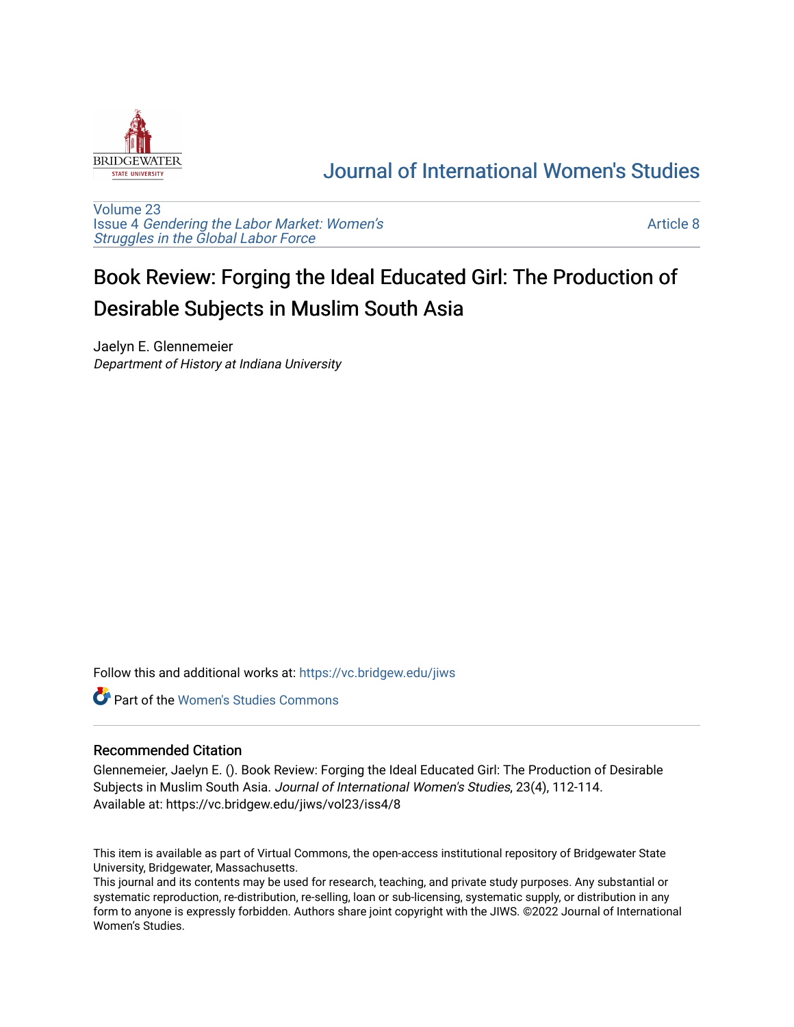

## [Journal of International Women's Studies](https://vc.bridgew.edu/jiws)

[Volume 23](https://vc.bridgew.edu/jiws/vol23) Issue 4 [Gendering the Labor Market: Women's](https://vc.bridgew.edu/jiws/vol23/iss4) [Struggles in the Global Labor Force](https://vc.bridgew.edu/jiws/vol23/iss4)

[Article 8](https://vc.bridgew.edu/jiws/vol23/iss4/8) 

## Book Review: Forging the Ideal Educated Girl: The Production of Desirable Subjects in Muslim South Asia

Jaelyn E. Glennemeier Department of History at Indiana University

Follow this and additional works at: [https://vc.bridgew.edu/jiws](https://vc.bridgew.edu/jiws?utm_source=vc.bridgew.edu%2Fjiws%2Fvol23%2Fiss4%2F8&utm_medium=PDF&utm_campaign=PDFCoverPages)

**C** Part of the Women's Studies Commons

## Recommended Citation

Glennemeier, Jaelyn E. (). Book Review: Forging the Ideal Educated Girl: The Production of Desirable Subjects in Muslim South Asia. Journal of International Women's Studies, 23(4), 112-114. Available at: https://vc.bridgew.edu/jiws/vol23/iss4/8

This item is available as part of Virtual Commons, the open-access institutional repository of Bridgewater State University, Bridgewater, Massachusetts.

This journal and its contents may be used for research, teaching, and private study purposes. Any substantial or systematic reproduction, re-distribution, re-selling, loan or sub-licensing, systematic supply, or distribution in any form to anyone is expressly forbidden. Authors share joint copyright with the JIWS. ©2022 Journal of International Women's Studies.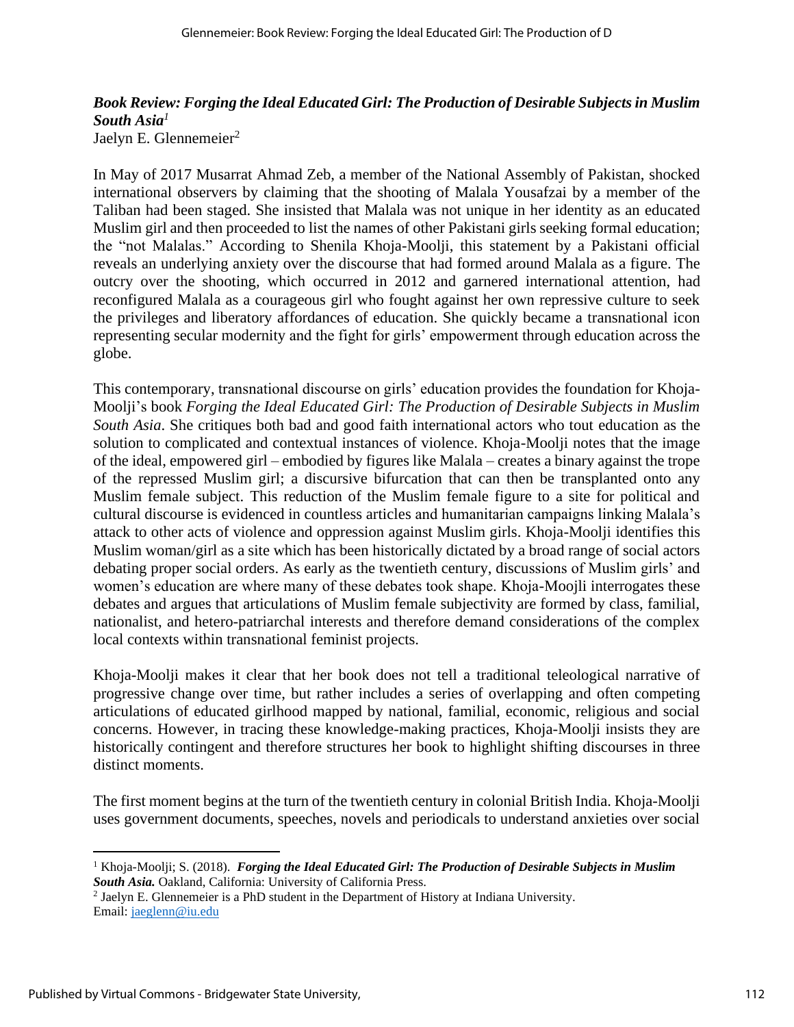## *Book Review: Forging the Ideal Educated Girl: The Production of Desirable Subjects in Muslim South Asia<sup>1</sup>*

Jaelyn E. Glennemeier<sup>2</sup>

In May of 2017 Musarrat Ahmad Zeb, a member of the National Assembly of Pakistan, shocked international observers by claiming that the shooting of Malala Yousafzai by a member of the Taliban had been staged. She insisted that Malala was not unique in her identity as an educated Muslim girl and then proceeded to list the names of other Pakistani girls seeking formal education; the "not Malalas." According to Shenila Khoja-Moolji, this statement by a Pakistani official reveals an underlying anxiety over the discourse that had formed around Malala as a figure. The outcry over the shooting, which occurred in 2012 and garnered international attention, had reconfigured Malala as a courageous girl who fought against her own repressive culture to seek the privileges and liberatory affordances of education. She quickly became a transnational icon representing secular modernity and the fight for girls' empowerment through education across the globe.

This contemporary, transnational discourse on girls' education provides the foundation for Khoja-Moolji's book *Forging the Ideal Educated Girl: The Production of Desirable Subjects in Muslim South Asia*. She critiques both bad and good faith international actors who tout education as the solution to complicated and contextual instances of violence. Khoja-Moolji notes that the image of the ideal, empowered girl – embodied by figures like Malala – creates a binary against the trope of the repressed Muslim girl; a discursive bifurcation that can then be transplanted onto any Muslim female subject. This reduction of the Muslim female figure to a site for political and cultural discourse is evidenced in countless articles and humanitarian campaigns linking Malala's attack to other acts of violence and oppression against Muslim girls. Khoja-Moolji identifies this Muslim woman/girl as a site which has been historically dictated by a broad range of social actors debating proper social orders. As early as the twentieth century, discussions of Muslim girls' and women's education are where many of these debates took shape. Khoja-Moojli interrogates these debates and argues that articulations of Muslim female subjectivity are formed by class, familial, nationalist, and hetero-patriarchal interests and therefore demand considerations of the complex local contexts within transnational feminist projects.

Khoja-Moolji makes it clear that her book does not tell a traditional teleological narrative of progressive change over time, but rather includes a series of overlapping and often competing articulations of educated girlhood mapped by national, familial, economic, religious and social concerns. However, in tracing these knowledge-making practices, Khoja-Moolji insists they are historically contingent and therefore structures her book to highlight shifting discourses in three distinct moments.

The first moment begins at the turn of the twentieth century in colonial British India. Khoja-Moolji uses government documents, speeches, novels and periodicals to understand anxieties over social

<sup>2</sup> Jaelyn E. Glennemeier is a PhD student in the Department of History at Indiana University. Email: [jaeglenn@iu.edu](mailto:jaeglenn@iu.edu)

<sup>1</sup> Khoja-Moolji; S. (2018). *Forging the Ideal Educated Girl: The Production of Desirable Subjects in Muslim South Asia.* Oakland, California: University of California Press.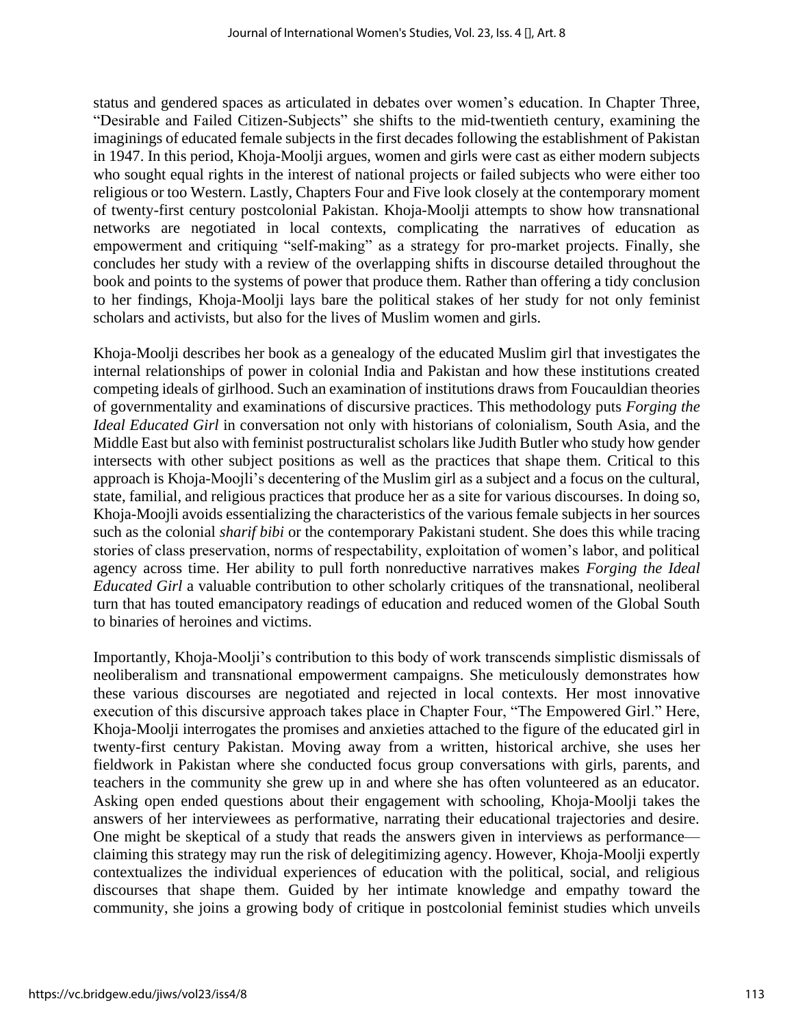status and gendered spaces as articulated in debates over women's education. In Chapter Three, "Desirable and Failed Citizen-Subjects" she shifts to the mid-twentieth century, examining the imaginings of educated female subjects in the first decades following the establishment of Pakistan in 1947. In this period, Khoja-Moolji argues, women and girls were cast as either modern subjects who sought equal rights in the interest of national projects or failed subjects who were either too religious or too Western. Lastly, Chapters Four and Five look closely at the contemporary moment of twenty-first century postcolonial Pakistan. Khoja-Moolji attempts to show how transnational networks are negotiated in local contexts, complicating the narratives of education as empowerment and critiquing "self-making" as a strategy for pro-market projects. Finally, she concludes her study with a review of the overlapping shifts in discourse detailed throughout the book and points to the systems of power that produce them. Rather than offering a tidy conclusion to her findings, Khoja-Moolji lays bare the political stakes of her study for not only feminist scholars and activists, but also for the lives of Muslim women and girls.

Khoja-Moolji describes her book as a genealogy of the educated Muslim girl that investigates the internal relationships of power in colonial India and Pakistan and how these institutions created competing ideals of girlhood. Such an examination of institutions draws from Foucauldian theories of governmentality and examinations of discursive practices. This methodology puts *Forging the Ideal Educated Girl* in conversation not only with historians of colonialism, South Asia, and the Middle East but also with feminist postructuralist scholars like Judith Butler who study how gender intersects with other subject positions as well as the practices that shape them. Critical to this approach is Khoja-Moojli's decentering of the Muslim girl as a subject and a focus on the cultural, state, familial, and religious practices that produce her as a site for various discourses. In doing so, Khoja-Moojli avoids essentializing the characteristics of the various female subjects in her sources such as the colonial *sharif bibi* or the contemporary Pakistani student. She does this while tracing stories of class preservation, norms of respectability, exploitation of women's labor, and political agency across time. Her ability to pull forth nonreductive narratives makes *Forging the Ideal Educated Girl* a valuable contribution to other scholarly critiques of the transnational, neoliberal turn that has touted emancipatory readings of education and reduced women of the Global South to binaries of heroines and victims.

Importantly, Khoja-Moolji's contribution to this body of work transcends simplistic dismissals of neoliberalism and transnational empowerment campaigns. She meticulously demonstrates how these various discourses are negotiated and rejected in local contexts. Her most innovative execution of this discursive approach takes place in Chapter Four, "The Empowered Girl." Here, Khoja-Moolji interrogates the promises and anxieties attached to the figure of the educated girl in twenty-first century Pakistan. Moving away from a written, historical archive, she uses her fieldwork in Pakistan where she conducted focus group conversations with girls, parents, and teachers in the community she grew up in and where she has often volunteered as an educator. Asking open ended questions about their engagement with schooling, Khoja-Moolji takes the answers of her interviewees as performative, narrating their educational trajectories and desire. One might be skeptical of a study that reads the answers given in interviews as performance claiming this strategy may run the risk of delegitimizing agency. However, Khoja-Moolji expertly contextualizes the individual experiences of education with the political, social, and religious discourses that shape them. Guided by her intimate knowledge and empathy toward the community, she joins a growing body of critique in postcolonial feminist studies which unveils